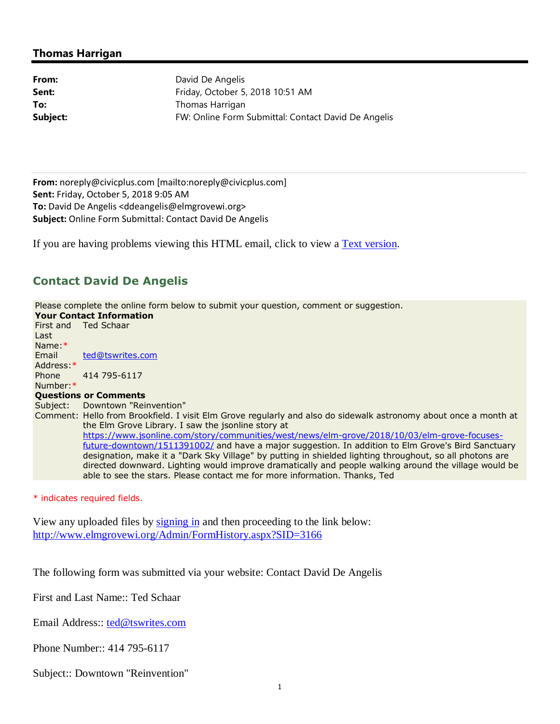## **Thomas Harrigan**

From: David De Angelis **Sent:** Friday, October 5, 2018 10:51 AM **To:** Thomas Harrigan **Subject:** FW: Online Form Submittal: Contact David De Angelis

**From:** noreply@civicplus.com [mailto:noreply@civicplus.com] **Sent:** Friday, October 5, 2018 9:05 AM **To:** David De Angelis <ddeangelis@elmgrovewi.org> **Subject:** Online Form Submittal: Contact David De Angelis

If you are having problems viewing this HTML email, click to view a Text version.

## **Contact David De Angelis**

Please complete the online form below to submit your question, comment or suggestion. **Your Contact Information**  First and Last Name:\* Ted Schaar Email Address:\* ted@tswrites.com Phone Number:\* 414 795-6117 **Questions or Comments**  Subject: Downtown "Reinvention" Comment: Hello from Brookfield. I visit Elm Grove regularly and also do sidewalk astronomy about once a month at the Elm Grove Library. I saw the jsonline story at https://www.jsonline.com/story/communities/west/news/elm-grove/2018/10/03/elm-grove-focusesfuture-downtown/1511391002/ and have a major suggestion. In addition to Elm Grove's Bird Sanctuary designation, make it a "Dark Sky Village" by putting in shielded lighting throughout, so all photons are directed downward. Lighting would improve dramatically and people walking around the village would be able to see the stars. Please contact me for more information. Thanks, Ted

\* indicates required fields.

View any uploaded files by signing in and then proceeding to the link below: http://www.elmgrovewi.org/Admin/FormHistory.aspx?SID=3166

The following form was submitted via your website: Contact David De Angelis

First and Last Name:: Ted Schaar

Email Address:: ted@tswrites.com

Phone Number:: 414 795-6117

Subject:: Downtown "Reinvention"